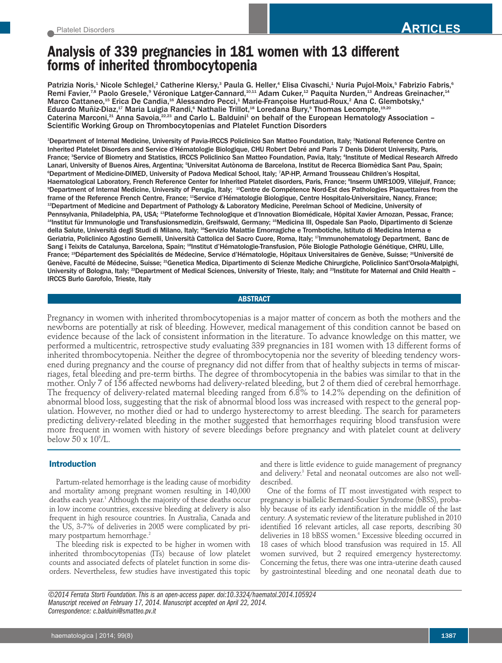# **Analysis of 339 pregnancies in 181 women with 13 different forms of inherited thrombocytopenia**

Patrizia Noris,<sup>1</sup> Nicole Schlegel,<sup>2</sup> Catherine Klersy,<sup>3</sup> Paula G. Heller,<sup>4</sup> Elisa Civaschi,<sup>1</sup> Nuria Pujol-Moix,<sup>5</sup> Fabrizio Fabris,<sup>6</sup> Remi Favier,<sup>7,8</sup> Paolo Gresele,<sup>9</sup> Véronique Latger-Cannard,<sup>10,11</sup> Adam Cuker,<sup>12</sup> Paquita Nurden,<sup>13</sup> Andreas Greinacher,<sup>14</sup> Marco Cattaneo, $^{\rm 15}$  Erica De Candia, $^{\rm 16}$  Alessandro Pecci, $^{\rm 4}$  Marie-Françoise Hurtaud-Roux, $^{\rm 2}$  Ana C. Glembotsky, $^{\rm 4}$ Eduardo Muñiz-Diaz, $^{17}$  Maria Luigia Randi, $^6$  Nathalie Trillot, $^{18}$  Loredana Bury, $^9$  Thomas Lecompte, $^{19,20}$ Caterina Marconi,<sup>21</sup> Anna Savoia,<sup>22,23</sup> and Carlo L. Balduini<sup>1</sup> on behalf of the European Hematology Association – Scientific Working Group on Thrombocytopenias and Platelet Function Disorders

1 Department of Internal Medicine, University of Pavia-IRCCS Policlinico San Matteo Foundation, Italy; <sup>2</sup> National Reference Centre on Inherited Platelet Disorders and Service d'Hématologie Biologique, CHU Robert Debré and Paris 7 Denis Diderot University, Paris, France; <sup>3</sup> Service of Biometry and Statistics, IRCCS Policlinico San Matteo Foundation, Pavia, Italy; <sup>4</sup> Institute of Medical Research Alfredo Lanari, University of Buenos Aires, Argentina; <sup>s</sup>Universitat Autònoma de Barcelona, Institut de Recerca Biomèdica Sant Pau, Spain; 6 Department of Medicine-DIMED, University of Padova Medical School, Italy; <sup>7</sup> AP-HP, Armand Trousseau Children's Hospital, Haematological Laboratory, French Reference Center for Inherited Platelet disorders, Paris, France; <sup>s</sup>Inserm UMR1009, Villejuif, France; 9 Department of Internal Medicine, University of Perugia, Italy; <sup>10</sup> Centre de Compétence Nord-Est des Pathologies Plaquettaires from the frame of the Reference French Centre, France; <sup>11</sup>Service d'Hématologie Biologique, Centre Hospitalo-Universitaire, Nancy, France; 12 Department of Medicine and Department of Pathology & Laboratory Medicine, Perelman School of Medicine, University of Pennsylvania, Philadelphia, PA, USA; <sup>13</sup>Plateforme Technologique et d'Innovation Biomédicale, Hôpital Xavier Arnozan, Pessac, France; 14 Institut für Immunologie und Transfusionsmedizin, Greifswald, Germany; <sup>15</sup> Medicina III, Ospedale San Paolo, Dipartimento di Scienze della Salute, Università degli Studi di Milano, Italy; <sup>16</sup>Servizio Malattie Emorragiche e Trombotiche, Istituto di Medicina Interna e Geriatria, Policlinico Agostino Gemelli, Università Cattolica del Sacro Cuore, Roma, Italy; <sup>17</sup> Immunohematology Department, Banc de Sang i Teixits de Catalunya, Barcelona, Spain; <sup>18</sup>Institut d'Hématologie-Transfusion, Pôle Biologie Pathologie Génétique, CHRU, Lille, France; <sup>19</sup>Département des Spécialités de Médecine, Service d'Hématologie, Hôpitaux Universitaires de Genève, Suisse; <sup>20</sup>Université de Genève, Faculté de Médecine, Suisse; <sup>21</sup>Genetica Medica, Dipartimento di Scienze Mediche Chirurgiche, Policlinico Sant'Orsola-Malpighi, University of Bologna, Italy; <sup>22</sup>Department of Medical Sciences, University of Trieste, Italy; and <sup>23</sup>Institute for Maternal and Child Health – IRCCS Burlo Garofolo, Trieste, Italy

**ABSTRACT**

Pregnancy in women with inherited thrombocytopenias is a major matter of concern as both the mothers and the newborns are potentially at risk of bleeding. However, medical management of this condition cannot be based on evidence because of the lack of consistent information in the literature. To advance knowledge on this matter, we performed a multicentric, retrospective study evaluating 339 pregnancies in 181 women with 13 different forms of inherited thrombocytopenia. Neither the degree of thrombocytopenia nor the severity of bleeding tendency worsened during pregnancy and the course of pregnancy did not differ from that of healthy subjects in terms of miscarriages, fetal bleeding and pre-term births. The degree of thrombocytopenia in the babies was similar to that in the mother. Only 7 of 156 affected newborns had delivery-related bleeding, but 2 of them died of cerebral hemorrhage. The frequency of delivery-related maternal bleeding ranged from 6.8% to 14.2% depending on the definition of abnormal blood loss, suggesting that the risk of abnormal blood loss was increased with respect to the general population. However, no mother died or had to undergo hysterectomy to arrest bleeding. The search for parameters predicting delivery-related bleeding in the mother suggested that hemorrhages requiring blood transfusion were more frequent in women with history of severe bleedings before pregnancy and with platelet count at delivery below  $50 \times 10^9$ /L.

# **Introduction**

Partum-related hemorrhage is the leading cause of morbidity and mortality among pregnant women resulting in 140,000 deaths each year. <sup>1</sup> Although the majority of these deaths occur in low income countries, excessive bleeding at delivery is also frequent in high resource countries. In Australia, Canada and the US, 3-7% of deliveries in 2005 were complicated by primary postpartum hemorrhage. 2

The bleeding risk is expected to be higher in women with inherited thrombocytopenias (ITs) because of low platelet counts and associated defects of platelet function in some disorders. Nevertheless, few studies have investigated this topic and there is little evidence to guide management of pregnancy and delivery. <sup>3</sup> Fetal and neonatal outcomes are also not welldescribed.

One of the forms of IT most investigated with respect to pregnancy is biallelic Bernard-Soulier Syndrome (bBSS), probably because of its early identification in the middle of the last century. A systematic review of the literature published in 2010 identified 16 relevant articles, all case reports, describing 30 deliveries in 18 bBSS women. <sup>4</sup> Excessive bleeding occurred in 18 cases of which blood transfusion was required in 15. All women survived, but 2 required emergency hysterectomy. Concerning the fetus, there was one intra-uterine death caused by gastrointestinal bleeding and one neonatal death due to

*©2014 Ferrata Storti Foundation.This is an open-access paper.doi:10.3324/haematol.2014.105924 Manuscript received on February 17, 2014. Manuscript accepted on April 22, 2014. Correspondence: c.balduini@smatteo.pv.it*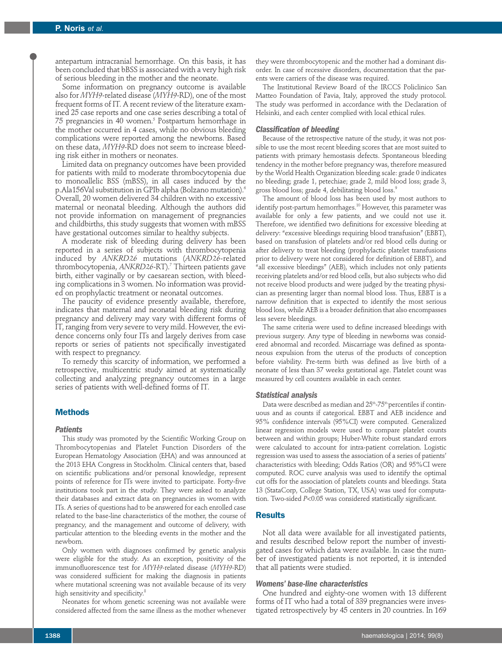antepartum intracranial hemorrhage. On this basis, it has been concluded that bBSS is associated with a very high risk of serious bleeding in the mother and the neonate.

Some information on pregnancy outcome is available also for *MYH9*-related disease (*MYH9*-RD), one of the most frequent forms of IT. A recent review of the literature examined 25 case reports and one case series describing a total of 75 pregnancies in 40 women. <sup>5</sup> Postpartum hemorrhage in the mother occurred in 4 cases, while no obvious bleeding complications were reported among the newborns. Based on these data, *MYH9*-RD does not seem to increase bleeding risk either in mothers or neonates.

Limited data on pregnancy outcomes have been provided for patients with mild to moderate thrombocytopenia due to monoallelic BSS (mBSS), in all cases induced by the p.Ala156Val substitution in GPIb alpha (Bolzano mutation). 6 Overall, 20 women delivered 34 children with no excessive maternal or neonatal bleeding. Although the authors did not provide information on management of pregnancies and childbirths, this study suggests that women with mBSS have gestational outcomes similar to healthy subjects.

A moderate risk of bleeding during delivery has been reported in a series of subjects with thrombocytopenia induced by *ANKRD26* mutations (*ANKRD26*-related thrombocytopenia, *ANKRD26*-RT). <sup>7</sup> Thirteen patients gave birth, either vaginally or by caesarean section, with bleeding complications in 3 women. No information was provided on prophylactic treatment or neonatal outcomes.

The paucity of evidence presently available, therefore, indicates that maternal and neonatal bleeding risk during pregnancy and delivery may vary with different forms of IT, ranging from very severe to very mild. However, the evidence concerns only four ITs and largely derives from case reports or series of patients not specifically investigated with respect to pregnancy.

To remedy this scarcity of information, we performed a retrospective, multicentric study aimed at systematically collecting and analyzing pregnancy outcomes in a large series of patients with well-defined forms of IT.

## **Methods**

## *Patients*

This study was promoted by the Scientific Working Group on Thrombocytopenias and Platelet Function Disorders of the European Hematology Association (EHA) and was announced at the 2013 EHA Congress in Stockholm. Clinical centers that, based on scientific publications and/or personal knowledge, represent points of reference for ITs were invited to participate. Forty-five institutions took part in the study. They were asked to analyze their databases and extract data on pregnancies in women with ITs. A series of questions had to be answered for each enrolled case related to the base-line characteristics of the mother, the course of pregnancy, and the management and outcome of delivery, with particular attention to the bleeding events in the mother and the newborn.

Only women with diagnoses confirmed by genetic analysis were eligible for the study. As an exception, positivity of the immunofluorescence test for *MYH9*-related disease (*MYH9*-RD) was considered sufficient for making the diagnosis in patients where mutational screening was not available because of its very high sensitivity and specificity. 8

Neonates for whom genetic screening was not available were considered affected from the same illness as the mother whenever

they were thrombocytopenic and the mother had a dominant disorder. In case of recessive disorders, documentation that the parents were carriers of the disease was required.

The Institutional Review Board of the IRCCS Policlinico San Matteo Foundation of Pavia, Italy, approved the study protocol. The study was performed in accordance with the Declaration of Helsinki, and each center complied with local ethical rules.

#### *Classification of bleeding*

Because of the retrospective nature of the study, it was not possible to use the most recent bleeding scores that are most suited to patients with primary hemostasis defects. Spontaneous bleeding tendency in the mother before pregnancy was, therefore measured by the World Health Organization bleeding scale: grade 0 indicates no bleeding; grade 1, petechiae; grade 2, mild blood loss; grade 3, gross blood loss; grade 4, debilitating blood loss. 9

The amount of blood loss has been used by most authors to identify post-partum hemorrhages. <sup>10</sup> However, this parameter was available for only a few patients, and we could not use it. Therefore, we identified two definitions for excessive bleeding at delivery: "excessive bleedings requiring blood transfusion" (EBBT), based on transfusion of platelets and/or red blood cells during or after delivery to treat bleeding (prophylactic platelet transfusions prior to delivery were not considered for definition of EBBT), and "all excessive bleedings" (AEB), which includes not only patients receiving platelets and/or red blood cells, but also subjects who did not receive blood products and were judged by the treating physician as presenting larger than normal blood loss. Thus, EBBT is a narrow definition that is expected to identify the most serious blood loss, while AEB is a broader definition that also encompasses less severe bleedings.

The same criteria were used to define increased bleedings with previous surgery. Any type of bleeding in newborns was considered abnormal and recorded. Miscarriage was defined as spontaneous expulsion from the uterus of the products of conception before viability. Pre-term birth was defined as live birth of a neonate of less than 37 weeks gestational age. Platelet count was measured by cell counters available in each center.

#### *Statistical analysis*

Data were described as median and  $25^{\text{\tiny th}}$ -75 $^{\text{\tiny th}}$ percentiles if continuous and as counts if categorical. EBBT and AEB incidence and 95% confidence intervals (95%CI) were computed. Generalized linear regression models were used to compare platelet counts between and within groups; Huber-White robust standard errors were calculated to account for intra-patient correlation. Logistic regression was used to assess the association of a series of patients' characteristics with bleeding; Odds Ratios (OR) and 95%CI were computed. ROC curve analysis was used to identify the optimal cut offs for the association of platelets counts and bleedings. Stata 13 (StataCorp, College Station, TX, USA) was used for computation. Two-sided *P*<0.05 was considered statistically significant.

## **Results**

Not all data were available for all investigated patients, and results described below report the number of investigated cases for which data were available. In case the number of investigated patients is not reported, it is intended that all patients were studied.

## *Womens' base-line characteristics*

One hundred and eighty-one women with 13 different forms of IT who had a total of 339 pregnancies were investigated retrospectively by 45 centers in 20 countries. In 169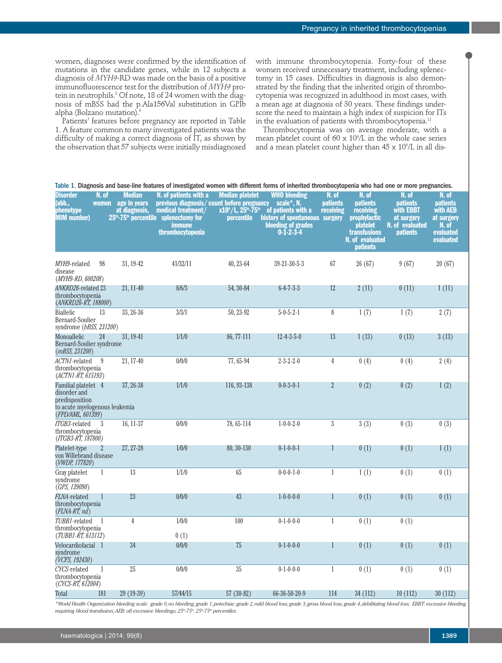women, diagnoses were confirmed by the identification of mutations in the candidate genes, while in 12 subjects a diagnosis of *MYH9*-RD was made on the basis of a positive immunofluorescence test for the distribution of *MYH9* protein in neutrophils. <sup>8</sup> Of note, 18 of 24 women with the diagnosis of mBSS had the p.Ala156Val substitution in GPIb alpha (Bolzano mutation). 6

Patients' features before pregnancy are reported in Table 1. A feature common to many investigated patients was the difficulty of making a correct diagnosis of IT, as shown by the observation that 57 subjects were initially misdiagnosed

Table 1. Diagnosis and base-line features of investigated women with different forms of inherited thrombocytopenia who had

with immune thrombocytopenia. Forty-four of these women received unnecessary treatment, including splenectomy in 15 cases. Difficulties in diagnosis is also demonstrated by the finding that the inherited origin of thrombocytopenia was recognized in adulthood in most cases, with a mean age at diagnosis of 30 years. These findings underscore the need to maintain a high index of suspicion for ITs in the evaluation of patients with thrombocytopenia. $^{\rm 11}$ 

Thrombocytopenia was on average moderate, with a mean platelet count of 60 x 109 /L in the whole case series and a mean platelet count higher than 45 x  $10^{\circ}/\mathrm{L}$  in all dis-

| <b>Disorder</b><br>(abb.,<br>phenotype<br><b>MIM</b> number)                                                | N. of<br><b>women</b> | <b>Median</b><br>age in years<br>at diagnosis, | ומטוט ב. התקווטטוט מות מסט ווות וטמעונט טו ווויטטוקמנטע אטווטו אומו מווטרטוג וטוווט טו ווווטונטע מווטוווסטטאַטטע<br>N. of patients with a<br>previous diagnosis/count before pregnancy<br>medical treatment/<br>$25th$ -75 <sup>th</sup> percentile splenectomy for<br>immune<br>thrombocytopenia | <b>Median platelet</b><br>$x10^{\circ}/$ L, $25^{\circ}$ -75 $^{\circ}$<br><b>percentile</b> | <b>WHO bleeding</b><br>scale*, N.<br>of patients with a<br>history of spontaneous surgery<br>bleeding of grades<br>$0 - 1 - 2 - 3 - 4$ | N. of<br><b>patients</b><br>receiving | N. of<br><b>patients</b><br>receiving<br><b>prophylactic</b><br><i>platelet</i><br>transfusions<br>N. of evaluated<br><b>patients</b> | N. of<br><b>patients</b><br>with <b>EBBT</b><br>at surgery<br>N. of evaluated<br><b>patients</b> | N. of<br><b>patients</b><br>with AEB<br>at surgery<br>N. of<br>evaluated<br>evaluated |
|-------------------------------------------------------------------------------------------------------------|-----------------------|------------------------------------------------|---------------------------------------------------------------------------------------------------------------------------------------------------------------------------------------------------------------------------------------------------------------------------------------------------|----------------------------------------------------------------------------------------------|----------------------------------------------------------------------------------------------------------------------------------------|---------------------------------------|---------------------------------------------------------------------------------------------------------------------------------------|--------------------------------------------------------------------------------------------------|---------------------------------------------------------------------------------------|
| MYH9-related<br>disease<br>$(MYH9-RD, 600208)$                                                              | 98                    | 31, 19-42                                      | 41/32/11                                                                                                                                                                                                                                                                                          | 40, 23-64                                                                                    | $39 - 21 - 30 - 5 - 3$                                                                                                                 | 67                                    | 26(67)                                                                                                                                | 9(67)                                                                                            | 20(67)                                                                                |
| ANKRD26-related 23<br>thrombocytopenia<br>(ANKRD26-RT, 188000)                                              |                       | 21, 11-40                                      | 8/6/3                                                                                                                                                                                                                                                                                             | 54, 30-84                                                                                    | $6 - 4 - 7 - 3 - 3$                                                                                                                    | 12                                    | 2(11)                                                                                                                                 | 0(11)                                                                                            | 1(11)                                                                                 |
| <b>Biallelic</b><br>Bernard-Soulier<br>syndrome (bBSS, 231200)                                              | 13                    | 33, 26-36                                      | 3/3/1                                                                                                                                                                                                                                                                                             | 50, 23-92                                                                                    | $5 - 0 - 5 - 2 - 1$                                                                                                                    | 8                                     | 1(7)                                                                                                                                  | 1(7)                                                                                             | 2(7)                                                                                  |
| Monoallelic<br>Bernard-Soulier syndrome<br>(mBSS, 231200)                                                   | 24                    | 31, 19-41                                      | 1/1/0                                                                                                                                                                                                                                                                                             | 86, 77-111                                                                                   | $12 - 4 - 3 - 5 - 0$                                                                                                                   | 13                                    | 1(13)                                                                                                                                 | 0(13)                                                                                            | 3(13)                                                                                 |
| ACTN1-related<br>thrombocytopenia<br>$(ACTNI-RT, 615193)$                                                   | 9                     | 21, 17-40                                      | 0/0/0                                                                                                                                                                                                                                                                                             | 77, 65-94                                                                                    | $2 - 3 - 2 - 2 - 0$                                                                                                                    | $\overline{4}$                        | 0(4)                                                                                                                                  | 0(4)                                                                                             | 2(4)                                                                                  |
| Familial platelet 4<br>disorder and<br>predisposition<br>to acute myelogenous leukemia<br>(FPD/AML, 601399) |                       | 37, 26-38                                      | 1/1/0                                                                                                                                                                                                                                                                                             | 116, 93-138                                                                                  | $0-0-3-0-1$                                                                                                                            | $\overline{2}$                        | 0(2)                                                                                                                                  | 0(2)                                                                                             | 1(2)                                                                                  |
| ITGB3-related<br>thrombocytopenia<br>(ITGB3-RT, 187800)                                                     | 3                     | 16, 11-37                                      | 0/0/0                                                                                                                                                                                                                                                                                             | 78, 65-114                                                                                   | $1 - 0 - 0 - 2 - 0$                                                                                                                    | $\sqrt{3}$                            | 3(3)                                                                                                                                  | 0(3)                                                                                             | 0(3)                                                                                  |
| Platelet-type<br>von Willebrand disease<br>(VWDP, 177820)                                                   | $\mathbf{2}$          | 27, 27-28                                      | 1/0/0                                                                                                                                                                                                                                                                                             | 80, 30-130                                                                                   | $0-1-0-0-1$                                                                                                                            | 1                                     | 0(1)                                                                                                                                  | 0(1)                                                                                             | 1(1)                                                                                  |
| Gray platelet<br>syndrome<br>(GPS, 139090)                                                                  | 1                     | 13                                             | 1/1/0                                                                                                                                                                                                                                                                                             | 65                                                                                           | $0-0-0-1-0$                                                                                                                            | $\mathbf{1}$                          | 1(1)                                                                                                                                  | 0(1)                                                                                             | 0(1)                                                                                  |
| <i>FLNA-</i> related<br>thrombocytopenia<br>$(FLNA-RT, nd)$                                                 | 1                     | 23                                             | 0/0/0                                                                                                                                                                                                                                                                                             | 43                                                                                           | $1 - 0 - 0 - 0 - 0$                                                                                                                    | 1                                     | 0(1)                                                                                                                                  | 0(1)                                                                                             | 0(1)                                                                                  |
| TUBB1-related<br>thrombocytopenia<br>(TUBB1-RT, 613112)                                                     | $\overline{1}$        | 4                                              | 1/0/0<br>0(1)                                                                                                                                                                                                                                                                                     | 100                                                                                          | $0-1-0-0-0$                                                                                                                            | $\mathbf{1}$                          | 0(1)                                                                                                                                  | 0(1)                                                                                             |                                                                                       |
| Velocardiofacial 1<br>syndrome<br>(VCFS, 192430)                                                            |                       | 34                                             | 0/0/0                                                                                                                                                                                                                                                                                             | 75                                                                                           | $0-1-0-0-0$                                                                                                                            | 1                                     | 0(1)                                                                                                                                  | 0(1)                                                                                             | 0(1)                                                                                  |
| CYCS-related<br>thrombocytopenia<br>(CYCS-RT, 612004)                                                       | 1                     | 25                                             | 0/0/0                                                                                                                                                                                                                                                                                             | 35                                                                                           | $0-1-0-0-0$                                                                                                                            | $\mathbf{1}$                          | 0(1)                                                                                                                                  | 0(1)                                                                                             | 0(1)                                                                                  |
| Total                                                                                                       | 181                   | $29(19-39)$                                    | 57/44/15                                                                                                                                                                                                                                                                                          | $57(30-82)$                                                                                  | 66-36-50-20-9                                                                                                                          | 114                                   | 34 (112)                                                                                                                              | 10(112)                                                                                          | 30(112)                                                                               |

\*World Health Organization bleeding scale: grade 0, no bleeding; grade 1, petechiae; grade 2, mild blood loss; grade 3, gross blood loss; grade 4, debilitating blood loss; EBBT: excessive bleeding *requiring blood transfusion;AEB: all excessive bleedings; 25th -75th : 25th -75th percentiles.*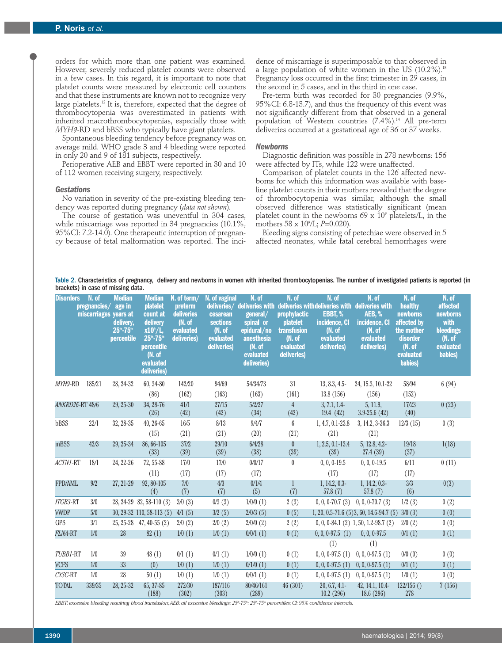orders for which more than one patient was examined. However, severely reduced platelet counts were observed in a few cases. In this regard, it is important to note that platelet counts were measured by electronic cell counters and that these instruments are known not to recognize very large platelets. <sup>12</sup> It is, therefore, expected that the degree of thrombocytopenia was overestimated in patients with inherited macrothrombocytopenias, especially those with *MYH9*-RD and bBSS who typically have giant platelets.

Spontaneous bleeding tendency before pregnancy was on average mild. WHO grade 3 and 4 bleeding were reported in only 20 and 9 of 181 subjects, respectively.

Perioperative AEB and EBBT were reported in 30 and 10 of 112 women receiving surgery, respectively.

### *Gestations*

No variation in severity of the pre-existing bleeding tendency was reported during pregnancy (*data not shown*).

The course of gestation was uneventful in 304 cases, while miscarriage was reported in 34 pregnancies (10.1%, 95%CI: 7.2-14.0). One therapeutic interruption of pregnancy because of fetal malformation was reported. The inci-

dence of miscarriage is superimposable to that observed in a large population of white women in the US (10.2%). 13 Pregnancy loss occurred in the first trimester in 29 cases, in the second in 5 cases, and in the third in one case.

Pre-term birth was recorded for 30 pregnancies (9.9%, 95%CI: 6.8-13.7), and thus the frequency of this event was not significantly different from that observed in a general population of Western countries (7.4%). <sup>14</sup> All pre-term deliveries occurred at a gestational age of 36 or 37 weeks.

#### *Newborns*

Diagnostic definition was possible in 278 newborns: 156 were affected by ITs, while 122 were unaffected.

Comparison of platelet counts in the 126 affected newborns for which this information was available with baseline platelet counts in their mothers revealed that the degree of thrombocytopenia was similar, although the small observed difference was statistically significant (mean platelet count in the newborns 69  $\times$  10<sup>9</sup> platelets/L, in the mothers 58 x 109 /L; *P*=0.020).

Bleeding signs consisting of petechiae were observed in 5 affected neonates, while fatal cerebral hemorrhages were

Table 2. Characteristics of pregnancy, delivery and newborns in women with inherited thrombocytopenias. The number of investigated patients is reported (in brackets) in case of missing data.

| <b>Disorders</b> | N. of<br>pregnancies/ age in<br>miscarriages years at | <b>Median</b><br>delivery,<br>25th-75th<br>percentile | <b>Median</b><br>platelet<br>count at<br>delivery<br>$x10^\circ/L$ ,<br>25th-75th<br>percentile<br>(N. of<br>evaluated<br>deliveries) | $N.$ of term/<br>preterm<br><b>deliveries</b><br>(N. of<br>evaluated<br>deliveries) | N. of vaginal<br>deliveries/<br>cesarean<br><b>sections</b><br>(N. of<br>evaluated<br>deliveries) | N. of<br>deliveries with<br>general/<br>spinal or<br>epidural/no<br>anesthesia<br>(N. of<br>evaluated<br>deliveries) | N. of<br><b>prophylactic</b><br><b>platelet</b><br><b>transfusion</b><br>(N. of<br>evaluated<br>deliveries) | N. of<br>deliveries with deliveries with deliveries with<br>EBBT, %<br>incidence, CI<br>(N. of<br>evaluated<br>deliveries) | N. of<br><b>AEB, %</b><br>incidence, CI<br>(N. of<br>evaluated<br>deliveries) | N. of<br>healthy<br><b>newborns</b><br>affected by<br>the mother<br>disorder<br>(N. of<br>evaluated<br><b>babies</b> ) | N. of<br>affected<br><b>newborns</b><br>with<br>bleedings<br>(N. of<br>evaluated<br>babies) |
|------------------|-------------------------------------------------------|-------------------------------------------------------|---------------------------------------------------------------------------------------------------------------------------------------|-------------------------------------------------------------------------------------|---------------------------------------------------------------------------------------------------|----------------------------------------------------------------------------------------------------------------------|-------------------------------------------------------------------------------------------------------------|----------------------------------------------------------------------------------------------------------------------------|-------------------------------------------------------------------------------|------------------------------------------------------------------------------------------------------------------------|---------------------------------------------------------------------------------------------|
| MYH9-RD          | 185/21                                                | 28, 24-32                                             | 60, 34-80                                                                                                                             | 142/20                                                                              | 94/69                                                                                             | 54/34/73                                                                                                             | 31                                                                                                          | 13, 8.3, 4.5-                                                                                                              | 24, 15.3, 10.1-22                                                             | 58/94                                                                                                                  | 6(94)                                                                                       |
|                  | ANKRD26-RT 48/6                                       | 29, 25-30                                             | (86)<br>34, 28-76<br>(26)                                                                                                             | (162)<br>41/1<br>(42)                                                               | (163)<br>27/15<br>(42)                                                                            | (163)<br>5/2/27<br>(34)                                                                                              | (161)<br>4<br>(42)                                                                                          | 13.8(156)<br>3, 7.1, 1.4<br>19.4(42)                                                                                       | (156)<br>5, 11.9,<br>$3.9 - 25.6(42)$                                         | (152)<br>17/23<br>(40)                                                                                                 | 0(23)                                                                                       |
| bBSS             | 22/1                                                  | 32, 28-35                                             | $40, 26 - 65$<br>(15)                                                                                                                 | 16/5<br>(21)                                                                        | 8/13<br>(21)                                                                                      | 9/4/7<br>(20)                                                                                                        | 6<br>(21)                                                                                                   | 1, 4.7, 0.1-23.8<br>(21)                                                                                                   | 3, 14.2, 3-36.3<br>(21)                                                       | 12/3(15)                                                                                                               | 0(3)                                                                                        |
| mBSS             | 42/3                                                  | 29, 25-34                                             | 86, 66-105<br>(33)                                                                                                                    | 37/2<br>(39)                                                                        | 29/10<br>(39)                                                                                     | 6/4/28<br>(38)                                                                                                       | $\boldsymbol{0}$<br>(39)                                                                                    | $1, 2.5, 0.1 - 13.4$<br>(39)                                                                                               | 5, 12.8, 4.2-<br>27.4(39)                                                     | 19/18<br>(37)                                                                                                          | 1(18)                                                                                       |
| ACTN1-RT         | 18/1                                                  | 24, 22-26                                             | 72, 55-88<br>(11)                                                                                                                     | 17/0<br>(17)                                                                        | 17/0<br>(17)                                                                                      | 0/0/17<br>(17)                                                                                                       | $\theta$                                                                                                    | $0, 0, 0$ -19.5<br>(17)                                                                                                    | $0, 0, 0$ -19.5<br>(17)                                                       | 6/11<br>(17)                                                                                                           | 0(11)                                                                                       |
| FPD/AML          | 9/2                                                   | 27, 21-29                                             | 92, 80-105<br>(4)                                                                                                                     | 7/0<br>(7)                                                                          | 4/3<br>(7)                                                                                        | 0/1/4<br>(5)                                                                                                         | (7)                                                                                                         | $1, 14.2, 0.3-$<br>57.8 $(7)$                                                                                              | $1, 14.2, 0.3-$<br>57.8(7)                                                    | 3/3<br>(6)                                                                                                             | 0(3)                                                                                        |
| ITGB3-RT         | 3/0                                                   |                                                       | 28, 24-29 82, 58-110 (3)                                                                                                              | 3/0(3)                                                                              | 0/3(3)                                                                                            | $1/0/0$ (1)                                                                                                          | 2(3)                                                                                                        | $0, 0, 0$ -70.7 $(3)$                                                                                                      | $0, 0, 0$ -70.7 $(3)$                                                         | 1/2(3)                                                                                                                 | 0(2)                                                                                        |
| <b>VWDP</b>      | 5/0                                                   |                                                       | 30, 29-32 110, 58-113 (5)                                                                                                             | 4/1(5)                                                                              | 3/2(5)                                                                                            | 2/0/3(5)                                                                                                             | 0(5)                                                                                                        |                                                                                                                            | $1, 20, 0.5 - 71.6$ (5) 3, 60, 14.6-94.7 (5)                                  | 3/0(3)                                                                                                                 | 0(0)                                                                                        |
| <b>GPS</b>       | 3/1                                                   |                                                       | 25, 25-28 47, 40-55 (2)                                                                                                               | 2/0(2)                                                                              | 2/0(2)                                                                                            | $2/0/0$ (2)                                                                                                          | 2(2)                                                                                                        |                                                                                                                            | $0, 0, 0.84.1$ (2) 1, 50, 1.2-98.7 (2)                                        | 2/0(2)                                                                                                                 | 0(0)                                                                                        |
| <b>FLNA-RT</b>   | 1/0                                                   | 28                                                    | 82(1)                                                                                                                                 | 1/0(1)                                                                              | 1/0(1)                                                                                            | 0/0/1(1)                                                                                                             | 0(1)                                                                                                        | 0, 0, 0.97.5(1)                                                                                                            | $0, 0, 0$ -97.5                                                               | 0/1(1)                                                                                                                 | 0(1)                                                                                        |
|                  |                                                       |                                                       |                                                                                                                                       |                                                                                     |                                                                                                   |                                                                                                                      |                                                                                                             | (1)                                                                                                                        | (1)                                                                           |                                                                                                                        |                                                                                             |
| TUBB1-RT         | 1/0                                                   | $39\,$                                                | 48(1)                                                                                                                                 | 0/1(1)                                                                              | 0/1(1)                                                                                            | $1/0/0$ (1)                                                                                                          | 0(1)                                                                                                        | $0, 0, 0$ -97.5 $(1)$                                                                                                      | 0, 0, 0.97.5(1)                                                               | 0/0(0)                                                                                                                 | 0(0)                                                                                        |
| <b>VCFS</b>      | 1/0                                                   | 33                                                    | (0)                                                                                                                                   | 1/0(1)                                                                              | 1/0(1)                                                                                            | 0/1/0(1)                                                                                                             | 0(1)                                                                                                        | 0, 0, 0.97.5(1)                                                                                                            | 0, 0, 0.97.5(1)                                                               | 0/1(1)                                                                                                                 | 0(1)                                                                                        |
| CYSC-RT          | 1/0                                                   | 28                                                    | 50(1)                                                                                                                                 | 1/0(1)                                                                              | 1/0(1)                                                                                            | 0/0/1(1)                                                                                                             | 0(1)                                                                                                        | 0, 0, 0.97.5(1)                                                                                                            | 0, 0, 0.97.5(1)                                                               | 1/0(1)                                                                                                                 | 0(0)                                                                                        |
| <b>TOTAL</b>     | 339/35                                                | 28, 25-32                                             | 65, 37-85<br>(188)                                                                                                                    | 272/30<br>(302)                                                                     | 187/116<br>(303)                                                                                  | 80/46/161<br>(289)                                                                                                   | 46(301)                                                                                                     | 20, 6.7, 4.1<br>10.2(296)                                                                                                  | 42, 14.1, 10.4-<br>18.6(296)                                                  | 122/156()<br>278                                                                                                       | 7(156)                                                                                      |

EBBT: excessive bleeding requiring blood transfusion; AEB: all excessive bleedings; 25\*-75\*: 25\*-75\* percentiles; CI: 95% confidence intervals.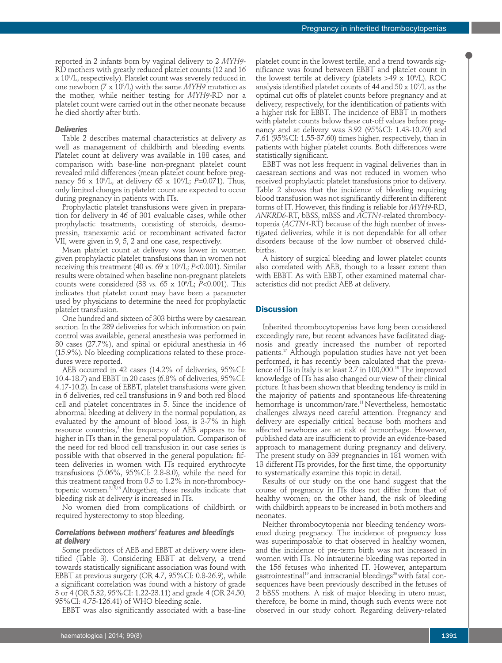reported in 2 infants born by vaginal delivery to 2 *MYH9*- RD mothers with greatly reduced platelet counts (12 and 16 x 109 /L, respectively). Platelet count was severely reduced in one newborn (7 x 109 /L) with the same *MYH9* mutation as the mother, while neither testing for *MYH9*-RD nor a platelet count were carried out in the other neonate because he died shortly after birth.

## *Deliveries*

Table 2 describes maternal characteristics at delivery as well as management of childbirth and bleeding events. Platelet count at delivery was available in 188 cases, and comparison with base-line non-pregnant platelet count revealed mild differences (mean platelet count before pregnancy 56 x 10°/L, at delivery 65 x 10°/L; *P=*0.071). Thus, only limited changes in platelet count are expected to occur during pregnancy in patients with ITs.

Prophylactic platelet transfusions were given in preparation for delivery in 46 of 301 evaluable cases, while other prophylactic treatments, consisting of steroids, desmopressin, tranexamic acid or recombinant activated factor VII, were given in 9, 5, 2 and one case, respectively.

Mean platelet count at delivery was lower in women given prophylactic platelet transfusions than in women not receiving this treatment (40 *vs.* 69 x 109 /L; *P*<0.001). Similar results were obtained when baseline non-pregnant platelets counts were considered (38 *vs.* 65 x 109 /L; *P*<0.001). This indicates that platelet count may have been a parameter used by physicians to determine the need for prophylactic platelet transfusion.

One hundred and sixteen of 303 births were by caesarean section. In the 289 deliveries for which information on pain control was available, general anesthesia was performed in 80 cases (27.7%), and spinal or epidural anesthesia in 46 (15.9%). No bleeding complications related to these procedures were reported.

AEB occurred in 42 cases (14.2% of deliveries, 95%CI: 10.4-18.7) and EBBT in 20 cases (6.8% of deliveries, 95%CI: 4.17-10.2). In case of EBBT, platelet transfusions were given in 6 deliveries, red cell transfusions in 9 and both red blood cell and platelet concentrates in 5. Since the incidence of abnormal bleeding at delivery in the normal population, as evaluated by the amount of blood loss, is 3-7% in high resource countries, <sup>2</sup> the frequency of AEB appears to be higher in ITs than in the general population. Comparison of the need for red blood cell transfusion in our case series is possible with that observed in the general population: fifteen deliveries in women with ITs required erythrocyte transfusions (5.06%, 95%CI: 2.8-8.0), while the need for this treatment ranged from 0.5 to 1.2% in non-thrombocytopenic women. 2,15,16 Altogether, these results indicate that bleeding risk at delivery is increased in ITs.

No women died from complications of childbirth or required hysterectomy to stop bleeding.

## *Correlations between mothers' features and bleedings at delivery*

Some predictors of AEB and EBBT at delivery were identified (Table 3). Considering EBBT at delivery, a trend towards statistically significant association was found with EBBT at previous surgery (OR 4.7, 95%CI: 0.8-26.9), while a significant correlation was found with a history of grade 3 or 4 (OR 5.32, 95%CI: 1.22-23.11) and grade 4 (OR 24.50, 95%CI: 4.75-126.41) of WHO bleeding scale.

EBBT was also significantly associated with a base-line

platelet count in the lowest tertile, and a trend towards significance was found between EBBT and platelet count in the lowest tertile at delivery (platelets >49 x 10°/L). ROC analysis identified platelet counts of 44 and 50 x  $10^{\circ}$ /L as the optimal cut offs of platelet counts before pregnancy and at delivery, respectively, for the identification of patients with a higher risk for EBBT. The incidence of EBBT in mothers with platelet counts below these cut-off values before pregnancy and at delivery was 3.92 (95%CI: 1.43-10.70) and 7.61 (95%CI: 1.55-37.60) times higher, respectively, than in patients with higher platelet counts. Both differences were statistically significant.

EBBT was not less frequent in vaginal deliveries than in caesarean sections and was not reduced in women who received prophylactic platelet transfusions prior to delivery. Table 2 shows that the incidence of bleeding requiring blood transfusion was not significantly different in different forms of IT. However, this finding is reliable for *MYH9*-RD, *ANKRD6*-RT, bBSS, mBSS and *ACTN1*-related thrombocytopenia (*ACTN1*-RT) because of the high number of investigated deliveries, while it is not dependable for all other disorders because of the low number of observed childbirths.

A history of surgical bleeding and lower platelet counts also correlated with AEB, though to a lesser extent than with EBBT. As with EBBT, other examined maternal characteristics did not predict AEB at delivery.

# **Discussion**

Inherited thrombocytopenias have long been considered exceedingly rare, but recent advances have facilitated diagnosis and greatly increased the number of reported patients. <sup>17</sup> Although population studies have not yet been performed, it has recently been calculated that the prevalence of ITs in Italy is at least 2.7 in 100,000. <sup>18</sup> The improved knowledge of ITs has also changed our view of their clinical picture. It has been shown that bleeding tendency is mild in the majority of patients and spontaneous life-threatening hemorrhage is uncommon/rare. <sup>11</sup> Nevertheless, hemostatic challenges always need careful attention. Pregnancy and delivery are especially critical because both mothers and affected newborns are at risk of hemorrhage. However, published data are insufficient to provide an evidence-based approach to management during pregnancy and delivery. The present study on 339 pregnancies in 181 women with 13 different ITs provides, for the first time, the opportunity to systematically examine this topic in detail.

Results of our study on the one hand suggest that the course of pregnancy in ITs does not differ from that of healthy women; on the other hand, the risk of bleeding with childbirth appears to be increased in both mothers and neonates.

Neither thrombocytopenia nor bleeding tendency worsened during pregnancy. The incidence of pregnancy loss was superimposable to that observed in healthy women, and the incidence of pre-term birth was not increased in women with ITs. No intrauterine bleeding was reported in the 156 fetuses who inherited IT. However, antepartum gastrointestinal <sup>19</sup> and intracranial bleedings <sup>20</sup> with fatal consequences have been previously described in the fetuses of 2 bBSS mothers. A risk of major bleeding in utero must, therefore, be borne in mind, though such events were not observed in our study cohort. Regarding delivery-related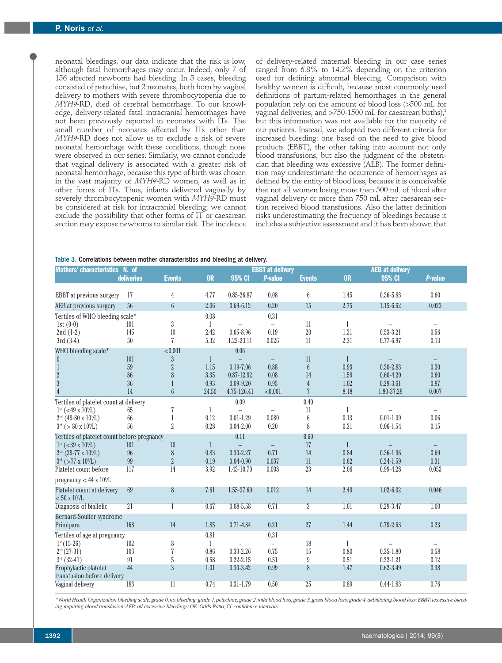neonatal bleedings, our data indicate that the risk is low, although fatal hemorrhages may occur. Indeed, only 7 of 156 affected newborns had bleeding. In 5 cases, bleeding consisted of petechiae, but 2 neonates, both born by vaginal delivery to mothers with severe thrombocytopenia due to *MYH9*-RD, died of cerebral hemorrhage. To our knowledge, delivery-related fatal intracranial hemorrhages have not been previously reported in neonates with ITs. The small number of neonates affected by ITs other than *MYH9*-RD does not allow us to exclude a risk of severe neonatal hemorrhage with these conditions, though none were observed in our series. Similarly, we cannot conclude that vaginal delivery is associated with a greater risk of neonatal hemorrhage, because this type of birth was chosen in the vast majority of *MYH9*-RD women, as well as in other forms of ITs. Thus, infants delivered vaginally by severely thrombocytopenic women with *MYH9*-RD must be considered at risk for intracranial bleeding; we cannot exclude the possibility that other forms of IT or caesarean section may expose newborns to similar risk. The incidence

of delivery-related maternal bleeding in our case series ranged from 6.8% to 14.2% depending on the criterion used for defining abnormal bleeding. Comparison with healthy women is difficult, because most commonly used definitions of partum-related hemorrhages in the general population rely on the amount of blood loss (>500 mL for vaginal deliveries, and >750-1500 mL for caesarean births), $^2$ but this information was not available for the majority of our patients. Instead, we adopted two different criteria for increased bleeding: one based on the need to give blood products (EBBT), the other taking into account not only blood transfusions, but also the judgment of the obstetrician that bleeding was excessive (AEB). The former definition may underestimate the occurrence of hemorrhages as defined by the entity of blood loss, because it is conceivable that not all women losing more than 500 mL of blood after vaginal delivery or more than 750 mL after caesarean section received blood transfusions. Also the latter definition risks underestimating the frequency of bleedings because it includes a subjective assessment and it has been shown that

#### Table 3. Correlations between mother characteristics and bleeding at delivery.

| Mothers' characteristics N. of                               |                 |                      | <b>EBBT</b> at delivery |               |                          |                |                | <b>AEB at delivery</b> |          |  |  |
|--------------------------------------------------------------|-----------------|----------------------|-------------------------|---------------|--------------------------|----------------|----------------|------------------------|----------|--|--|
|                                                              | deliveries      | <b>Events</b>        | <b>OR</b>               | 95% CI        | <b>P-value</b>           | <b>Events</b>  | <b>OR</b>      | 95% CI                 | P-value  |  |  |
|                                                              |                 |                      |                         |               |                          |                |                |                        |          |  |  |
| EBBT at previous surgery                                     | 17              | 4                    | 4.77                    | 0.85-26.87    | 0.08                     | 6              | 1.45           | $0.36 - 5.83$          | 0.60     |  |  |
| AEB at previous surgery                                      | 56              | $6\phantom{.}6$      | 2.06                    | $0.69 - 6.12$ | 0.20                     | 15             | 2.75           | 1.15-6.62              | 0.023    |  |  |
| Tertiles of WHO bleeding scale*                              |                 |                      | 0.08                    |               | 0.31                     |                |                |                        |          |  |  |
| 1st $(0-0)$                                                  | 101             | $\sqrt{3}$           | $\mathbf{1}$            |               | $\qquad \qquad -$        | 11             | $\mathbf{1}$   |                        |          |  |  |
| $2nd(1-2)$                                                   | 145             | 10                   | 2.42                    | $0.65 - 8.96$ | 0.19                     | 20             | 1.31           | $0.53 - 3.21$          | $0.56\,$ |  |  |
| $3rd(3-4)$                                                   | 50              | 7                    | 5.32                    | 1.22-23.11    | 0.026                    | 11             | 2.31           | $0.77 - 6.97$          | 0.13     |  |  |
| WHO bleeding scale*                                          |                 | < 0.001              |                         | 0.06          |                          |                |                |                        |          |  |  |
| $\boldsymbol{0}$                                             | 101             | $\overline{3}$       | $\mathbf{1}$            |               | $\qquad \qquad -$        | 11             | $\mathbf{1}$   |                        |          |  |  |
|                                                              | 59              | $\overline{2}$       | 1.15                    | $0.19 - 7.06$ | 0.88                     | $6\phantom{a}$ | 0.93           | $0.30 - 2.83$          | 0.30     |  |  |
| $\begin{array}{c} 1 \\ 2 \\ 3 \end{array}$                   | 86              | 8                    | 3.35                    | 0.87-12.92    | 0.08                     | 14             | 1.59           | $0.60 - 4.20$          | 0.60     |  |  |
|                                                              | 36              |                      | 0.93                    | $0.09 - 9.20$ | 0.95                     | $\overline{4}$ | 1.02           | $0.29 - 3.61$          | 0.97     |  |  |
| $\overline{4}$                                               | 14              | $6\phantom{.}6$      | 24.50                   | 4.75-126.41   | < 0.001                  |                | 8.18           | 1.80-37.29             | 0.007    |  |  |
| Tertiles of platelet count at delivery                       |                 |                      |                         | 0.09          |                          | 0.40           |                |                        |          |  |  |
| $1^{\rm st}$ (<49 x 10 <sup>9</sup> /L)                      | 65              | 7                    | 1                       |               | $\overline{\phantom{0}}$ | 11             | 1              |                        |          |  |  |
| $2nd$ (49-80 x 10 <sup>9</sup> /L)                           | 66              |                      | 0.12                    | $0.01 - 1.29$ | 0.080                    | 6              | 0.13           | $0.01 - 1.09$          | 0.06     |  |  |
| $3^{rd}$ (> 80 x 10 <sup>9</sup> /L)                         | 56              | $\overline{2}$       | 0.28                    | $0.04 - 2.00$ | 0.20                     | 8              | 0.31           | $0.06 - 1.54$          | 0.15     |  |  |
| Tertiles of platelet count before pregnancy                  |                 |                      |                         | 0.11          |                          | 0.60           |                |                        |          |  |  |
| $1^{\rm st}$ (<39 x 10 <sup>9</sup> /L)                      | 101             | 10                   | $\mathbf{1}$            |               | $\qquad \qquad -$        | 17             | $\overline{1}$ |                        |          |  |  |
| $2^{nd}$ (39-77 x 10 <sup>9</sup> /L)                        | 96              | $\,8\,$              | 0.83                    | $0.30 - 2.27$ | 0.71                     | 14             | 0.84           | $0.36 - 1.96$          | 0.69     |  |  |
| $3^{rd}$ (>77 x 10 <sup>9</sup> /L)<br>Platelet count before | $99\,$<br>117   | $\overline{2}$<br>14 | 0.19<br>3.92            | $0.04 - 0.90$ | 0.037                    | 11<br>23       | 0.62<br>2.06   | $0.24 - 1.59$          | 0.31     |  |  |
|                                                              |                 |                      |                         | 1.43-10.70    | 0.008                    |                |                | 0.99-4.28              | 0.053    |  |  |
| pregnancy $< 44 \times 10^{9}/L$                             |                 |                      |                         |               |                          |                |                |                        |          |  |  |
| Platelet count at delivery<br>$< 50 \times 10^{9}/L$         | 69              | 8                    | 7.61                    | 1.55-37.60    | 0.012                    | 14             | 2.49           | $1.02 - 6.02$          | 0.046    |  |  |
| Diagnosis of biallelic                                       | $\overline{21}$ |                      | 0.67                    | $0.08 - 5.58$ | 0.71                     | $\overline{3}$ | 1.01           | $0.29 - 3.47$          | 1.00     |  |  |
| Bernard-Soulier syndrome                                     |                 |                      |                         |               |                          |                |                |                        |          |  |  |
| Primipara                                                    | 168             | 14                   | 1.85                    | $0.71 - 4.84$ | 0.21                     | 27             | 1.44           | $0.79 - 2.63$          | 0.23     |  |  |
|                                                              |                 |                      | 0.81                    |               | 0.31                     |                |                |                        |          |  |  |
| Tertiles of age at pregnancy<br>$1st$ (15-26)                | 102             | 8                    | $\mathbf{1}$            |               | $\mathcal{L}$            | 18             | $\mathbf{1}$   |                        |          |  |  |
| $2^{nd}(27-31)$                                              | 103             | 7                    | 0.86                    | $0.33 - 2.26$ | 0.75                     | 15             | 0.80           | $0.35 - 1.80$          | 0.58     |  |  |
| $3^{rd}$ (32-41)                                             | 91              | 5                    | 0.68                    | $0.22 - 2.15$ | 0.51                     | 9              | 0.51           | $0.22 - 1.21$          | 0.12     |  |  |
| Prophylactic platelet                                        | 44              | $\overline{3}$       | 1.01                    | $0.30 - 3.42$ | 0.99                     | 8              | 1.47           | $0.62 - 3.49$          | 0.38     |  |  |
| transfusion before delivery                                  |                 |                      |                         |               |                          |                |                |                        |          |  |  |
| Vaginal delivery                                             | 183             | 11                   | 0.74                    | $0.31 - 1.79$ | 0.50                     | 25             | 0.89           | $0.44 - 1.83$          | 0.76     |  |  |

\*World Health Organization bleeding scale: grade 0,no bleeding; grade 1, petechiae; grade 2, mild blood loss; grade 3, gross blood loss; grade 4, debilitating blood loss; EBBT: excessive bleed*ing requiring blood transfusion;AEB: all excessive bleedings; OR: Odds Ratio; CI: confidence intervals.*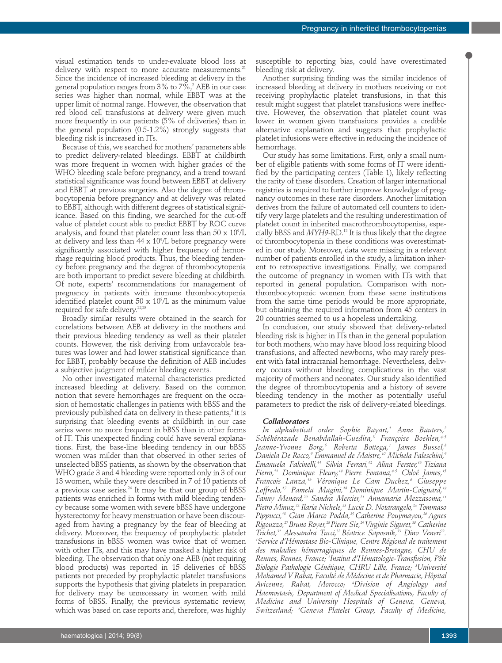visual estimation tends to under-evaluate blood loss at delivery with respect to more accurate measurements. 21 Since the incidence of increased bleeding at delivery in the general population ranges from 3% to 7%, <sup>2</sup> AEB in our case series was higher than normal, while EBBT was at the upper limit of normal range. However, the observation that red blood cell transfusions at delivery were given much more frequently in our patients (5% of deliveries) than in the general population (0.5-1.2%) strongly suggests that bleeding risk is increased in ITs.

Because of this, we searched for mothers' parameters able to predict delivery-related bleedings. EBBT at childbirth was more frequent in women with higher grades of the WHO bleeding scale before pregnancy, and a trend toward statistical significance was found between EBBT at delivery and EBBT at previous surgeries. Also the degree of thrombocytopenia before pregnancy and at delivery was related to EBBT, although with different degrees of statistical significance. Based on this finding, we searched for the cut-off value of platelet count able to predict EBBT by ROC curve analysis, and found that platelet count less than 50 x  $10^{\circ}/\text{L}$ at delivery and less than 44 x 10°/L before pregnancy were significantly associated with higher frequency of hemorrhage requiring blood products. Thus, the bleeding tendency before pregnancy and the degree of thrombocytopenia are both important to predict severe bleeding at childbirth. Of note, experts' recommendations for management of pregnancy in patients with immune thrombocytopenia identified platelet count 50 x 109 /L as the minimum value required for safe delivery. 22,23

Broadly similar results were obtained in the search for correlations between AEB at delivery in the mothers and their previous bleeding tendency as well as their platelet counts. However, the risk deriving from unfavorable features was lower and had lower statistical significance than for EBBT, probably because the definition of AEB includes a subjective judgment of milder bleeding events.

No other investigated maternal characteristics predicted increased bleeding at delivery. Based on the common notion that severe hemorrhages are frequent on the occasion of hemostatic challenges in patients with bBSS and the previously published data on delivery in these patients, <sup>4</sup> it is surprising that bleeding events at childbirth in our case series were no more frequent in bBSS than in other forms of IT. This unexpected finding could have several explanations. First, the base-line bleeding tendency in our bBSS women was milder than that observed in other series of unselected bBSS patients, as shown by the observation that WHO grade 3 and 4 bleeding were reported only in 3 of our 13 women, while they were described in 7 of 10 patients of a previous case series. <sup>24</sup> It may be that our group of bBSS patients was enriched in forms with mild bleeding tendency because some women with severe bBSS have undergone hysterectomy for heavy menstruation or have been discouraged from having a pregnancy by the fear of bleeding at delivery. Moreover, the frequency of prophylactic platelet transfusions in bBSS women was twice that of women with other ITs, and this may have masked a higher risk of bleeding. The observation that only one AEB (not requiring blood products) was reported in 15 deliveries of bBSS patients not preceded by prophylactic platelet transfusions supports the hypothesis that giving platelets in preparation for delivery may be unnecessary in women with mild forms of bBSS. Finally, the previous systematic review, which was based on case reports and, therefore, was highly

susceptible to reporting bias, could have overestimated bleeding risk at delivery.

Another surprising finding was the similar incidence of increased bleeding at delivery in mothers receiving or not receiving prophylactic platelet transfusions, in that this result might suggest that platelet transfusions were ineffective. However, the observation that platelet count was lower in women given transfusions provides a credible alternative explanation and suggests that prophylactic platelet infusions were effective in reducing the incidence of hemorrhage.

Our study has some limitations. First, only a small number of eligible patients with some forms of IT were identified by the participating centers (Table 1), likely reflecting the rarity of these disorders. Creation of larger international registries is required to further improve knowledge of pregnancy outcomes in these rare disorders. Another limitation derives from the failure of automated cell counters to identify very large platelets and the resulting underestimation of platelet count in inherited macrothrombocytopenias, especially bBSS and *MYH9*-RD. <sup>12</sup> It is thus likely that the degree of thrombocytopenia in these conditions was overestimated in our study. Moreover, data were missing in a relevant number of patients enrolled in the study, a limitation inherent to retrospective investigations. Finally, we compared the outcome of pregnancy in women with ITs with that reported in general population. Comparison with nonthrombocytopenic women from these same institutions from the same time periods would be more appropriate, but obtaining the required information from 45 centers in 20 countries seemed to us a hopeless undertaking.

In conclusion, our study showed that delivery-related bleeding risk is higher in ITs than in the general population for both mothers, who may have blood loss requiring blood transfusions, and affected newborns, who may rarely present with fatal intracranial hemorrhage. Nevertheless, delivery occurs without bleeding complications in the vast majority of mothers and neonates. Our study also identified the degree of thrombocytopenia and a history of severe bleeding tendency in the mother as potentially useful parameters to predict the risk of delivery-related bleedings.

#### *Collaborators*

*In alphabetical order Sophie Bayart, <sup>1</sup> Anne Bauters, 2 Schéhérazade Benabdallah-Guedira, <sup>3</sup> Françoise Boehlen, 4-5 Jeanne-Yvonne Borg, <sup>6</sup> Roberta Bottega, <sup>7</sup> James Bussel, 8 Daniela De Rocco, <sup>9</sup> Emmanuel de Maistre, <sup>10</sup> Michela Faleschini, 9 Emanuela Falcinelli, <sup>11</sup> Silvia Ferrari, <sup>12</sup> Alina Ferster, <sup>13</sup> Tiziana Fierro, <sup>11</sup> Dominique Fleury, <sup>14</sup> Pierre Fontana, 4-5 Chloé James, 15 Francois Lanza, <sup>16</sup> Véronique Le Cam Duchez, <sup>6</sup> Giuseppe Loffredo, <sup>17</sup> Pamela Magini, <sup>18</sup> Dominique Martin-Coignard, 19 Fanny Menard, <sup>20</sup> Sandra Mercier, <sup>21</sup> Annamaria Mezzasoma, 11 Pietro Minuz, <sup>22</sup> Ilaria Nichele, <sup>23</sup> Lucia D. Notarangelo, <sup>24</sup> Tommaso Pippucci, <sup>18</sup> Gian Marco Podda, <sup>25</sup> Catherine Pouymayou, <sup>26</sup> Agnes Rigouzzo, 27 Bruno Royer, 28 Pierre Sie, 29 Virginie Siguret, <sup>30</sup> Catherine Trichet, <sup>31</sup> Alessandra Tucci, <sup>32</sup> Béatrice Saposnik, <sup>33</sup> Dino Veneri 22 . 1 Service d'Hémostase Bio-Clinique, Centre Régional de traitement des maladies hémorragiques de Rennes-Bretagne, CHU de Rennes, Rennes, France; <sup>2</sup> Institut d'Hématologie-Transfusion, Pôle Biologie Pathologie Génétique, CHRU Lille, France; <sup>3</sup> Université Mohamed V Rabat, Faculté de Médecine et de Pharmacie, Hôpital Avicenne, Rabat, Morocco; <sup>4</sup> Division of Angiology and Haemostasis, Department of Medical Specialisations, Faculty of Medicine and University Hospitals of Geneva, Geneva, Switzerland; <sup>5</sup> Geneva Platelet Group, Faculty of Medicine,*